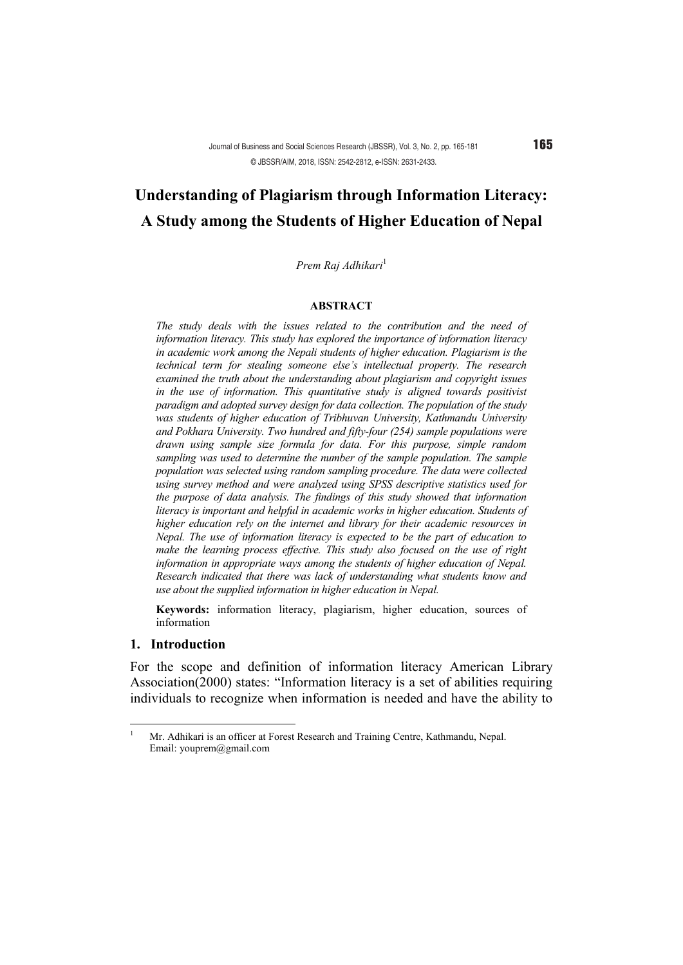# **Understanding of Plagiarism through Information Literacy: A Study among the Students of Higher Education of Nepal**

Prem Raj Adhikari<sup>1</sup>

#### **ABSTRACT**

*The study deals with the issues related to the contribution and the need of information literacy. This study has explored the importance of information literacy in academic work among the Nepali students of higher education. Plagiarism is the technical term for stealing someone else's intellectual property. The research examined the truth about the understanding about plagiarism and copyright issues in the use of information. This quantitative study is aligned towards positivist paradigm and adopted survey design for data collection. The population of the study was students of higher education of Tribhuvan University, Kathmandu University and Pokhara University. Two hundred and fifty-four (254) sample populations were drawn using sample size formula for data. For this purpose, simple random sampling was used to determine the number of the sample population. The sample population was selected using random sampling procedure. The data were collected using survey method and were analyzed using SPSS descriptive statistics used for the purpose of data analysis. The findings of this study showed that information literacy is important and helpful in academic works in higher education. Students of higher education rely on the internet and library for their academic resources in Nepal. The use of information literacy is expected to be the part of education to make the learning process effective. This study also focused on the use of right information in appropriate ways among the students of higher education of Nepal. Research indicated that there was lack of understanding what students know and use about the supplied information in higher education in Nepal.*

**Keywords:** information literacy, plagiarism, higher education, sources of information

#### **1. Introduction**

For the scope and definition of information literacy American Library Association(2000) states: "Information literacy is a set of abilities requiring individuals to recognize when information is needed and have the ability to

<sup>&</sup>lt;sup>1</sup> Mr. Adhikari is an officer at Forest Research and Training Centre, Kathmandu, Nepal. Email: youprem@gmail.com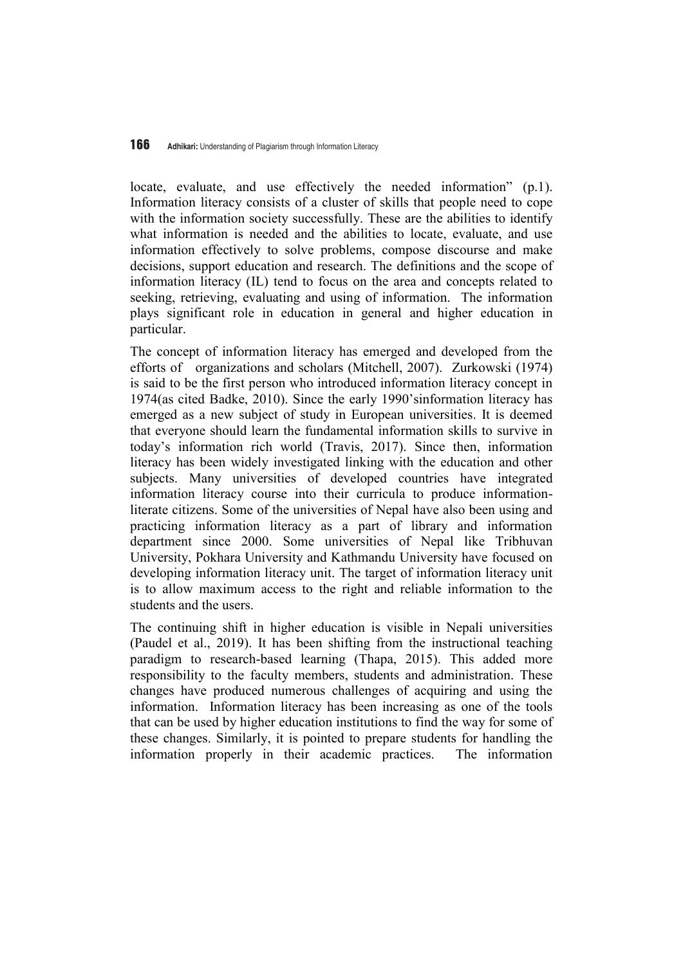locate, evaluate, and use effectively the needed information" (p.1). Information literacy consists of a cluster of skills that people need to cope with the information society successfully. These are the abilities to identify what information is needed and the abilities to locate, evaluate, and use information effectively to solve problems, compose discourse and make decisions, support education and research. The definitions and the scope of information literacy (IL) tend to focus on the area and concepts related to seeking, retrieving, evaluating and using of information. The information plays significant role in education in general and higher education in particular.

The concept of information literacy has emerged and developed from the efforts of organizations and scholars (Mitchell, 2007). Zurkowski (1974) is said to be the first person who introduced information literacy concept in 1974(as cited Badke, 2010). Since the early 1990'sinformation literacy has emerged as a new subject of study in European universities. It is deemed that everyone should learn the fundamental information skills to survive in today's information rich world (Travis, 2017). Since then, information literacy has been widely investigated linking with the education and other subjects. Many universities of developed countries have integrated information literacy course into their curricula to produce informationliterate citizens. Some of the universities of Nepal have also been using and practicing information literacy as a part of library and information department since 2000. Some universities of Nepal like Tribhuvan University, Pokhara University and Kathmandu University have focused on developing information literacy unit. The target of information literacy unit is to allow maximum access to the right and reliable information to the students and the users.

The continuing shift in higher education is visible in Nepali universities (Paudel et al., 2019). It has been shifting from the instructional teaching paradigm to research-based learning (Thapa, 2015). This added more responsibility to the faculty members, students and administration. These changes have produced numerous challenges of acquiring and using the information. Information literacy has been increasing as one of the tools that can be used by higher education institutions to find the way for some of these changes. Similarly, it is pointed to prepare students for handling the information properly in their academic practices. The information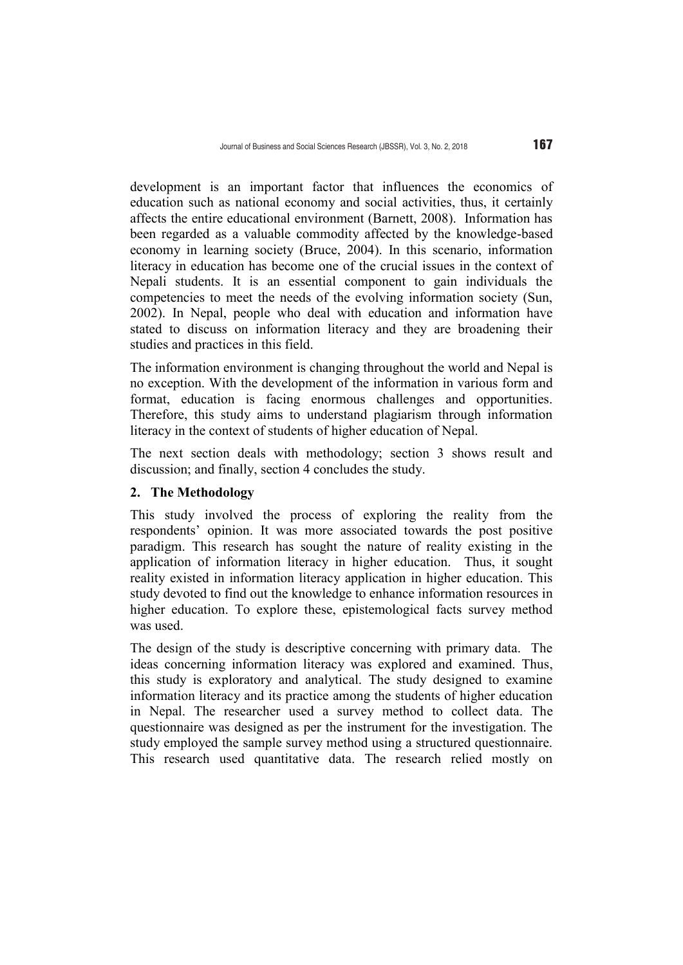development is an important factor that influences the economics of education such as national economy and social activities, thus, it certainly affects the entire educational environment (Barnett, 2008). Information has been regarded as a valuable commodity affected by the knowledge-based economy in learning society (Bruce, 2004). In this scenario, information literacy in education has become one of the crucial issues in the context of Nepali students. It is an essential component to gain individuals the competencies to meet the needs of the evolving information society (Sun, 2002). In Nepal, people who deal with education and information have stated to discuss on information literacy and they are broadening their studies and practices in this field.

The information environment is changing throughout the world and Nepal is no exception. With the development of the information in various form and format, education is facing enormous challenges and opportunities. Therefore, this study aims to understand plagiarism through information literacy in the context of students of higher education of Nepal.

The next section deals with methodology; section 3 shows result and discussion; and finally, section 4 concludes the study.

### **2. The Methodology**

This study involved the process of exploring the reality from the respondents' opinion. It was more associated towards the post positive paradigm. This research has sought the nature of reality existing in the application of information literacy in higher education. Thus, it sought reality existed in information literacy application in higher education. This study devoted to find out the knowledge to enhance information resources in higher education. To explore these, epistemological facts survey method was used.

The design of the study is descriptive concerning with primary data. The ideas concerning information literacy was explored and examined. Thus, this study is exploratory and analytical. The study designed to examine information literacy and its practice among the students of higher education in Nepal. The researcher used a survey method to collect data. The questionnaire was designed as per the instrument for the investigation. The study employed the sample survey method using a structured questionnaire. This research used quantitative data. The research relied mostly on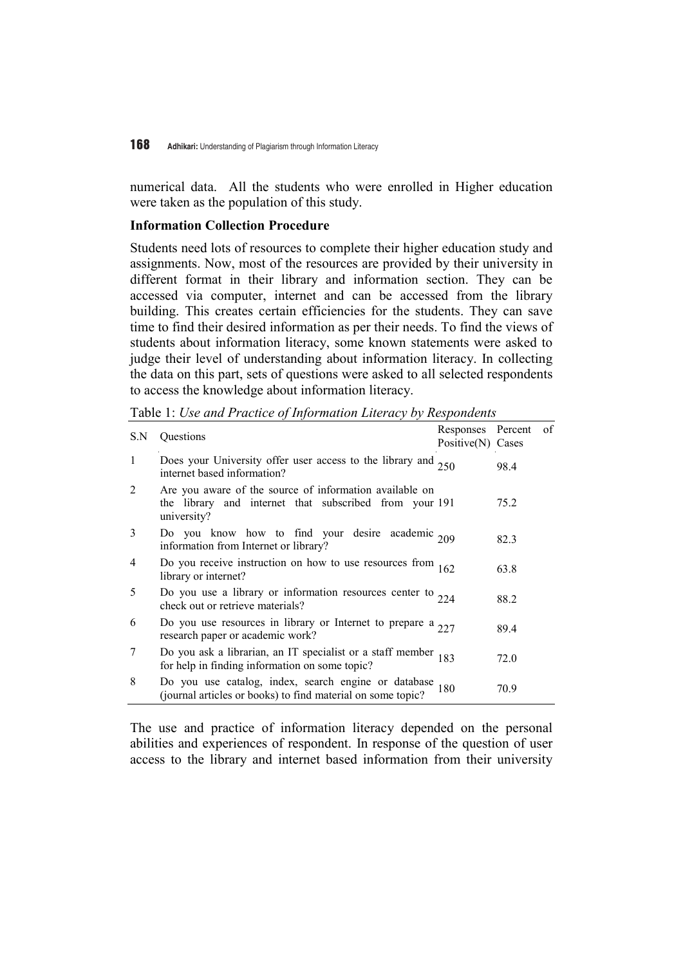numerical data. All the students who were enrolled in Higher education were taken as the population of this study.

#### **Information Collection Procedure**

Students need lots of resources to complete their higher education study and assignments. Now, most of the resources are provided by their university in different format in their library and information section. They can be accessed via computer, internet and can be accessed from the library building. This creates certain efficiencies for the students. They can save time to find their desired information as per their needs. To find the views of students about information literacy, some known statements were asked to judge their level of understanding about information literacy. In collecting the data on this part, sets of questions were asked to all selected respondents to access the knowledge about information literacy.

Table 1: *Use and Practice of Information Literacy by Respondents* 

| S.N            | <b>Ouestions</b>                                                                                                                 | Responses Percent<br>Positive(N) Cases |      | O1 |
|----------------|----------------------------------------------------------------------------------------------------------------------------------|----------------------------------------|------|----|
| 1              | Does your University offer user access to the library and 250 internet based information?                                        |                                        | 98.4 |    |
| $\overline{2}$ | Are you aware of the source of information available on<br>the library and internet that subscribed from your 191<br>university? |                                        | 75.2 |    |
| 3              | Do you know how to find your desire academic 209<br>information from Internet or library?                                        |                                        | 82.3 |    |
| 4              | Do you receive instruction on how to use resources from $162$<br>library or internet?                                            |                                        | 63.8 |    |
| 5              | Do you use a library or information resources center to $224$<br>check out or retrieve materials?                                |                                        | 88.2 |    |
| 6              | Do you use resources in library or Internet to prepare a $277$<br>research paper or academic work?                               |                                        | 89.4 |    |
| 7              | Do you ask a librarian, an IT specialist or a staff member 183 for help in finding information on some topic?                    |                                        | 72.0 |    |
| 8              | Do you use catalog, index, search engine or database 180 (journal articles or books) to find material on some topic?             |                                        | 70.9 |    |

The use and practice of information literacy depended on the personal abilities and experiences of respondent. In response of the question of user access to the library and internet based information from their university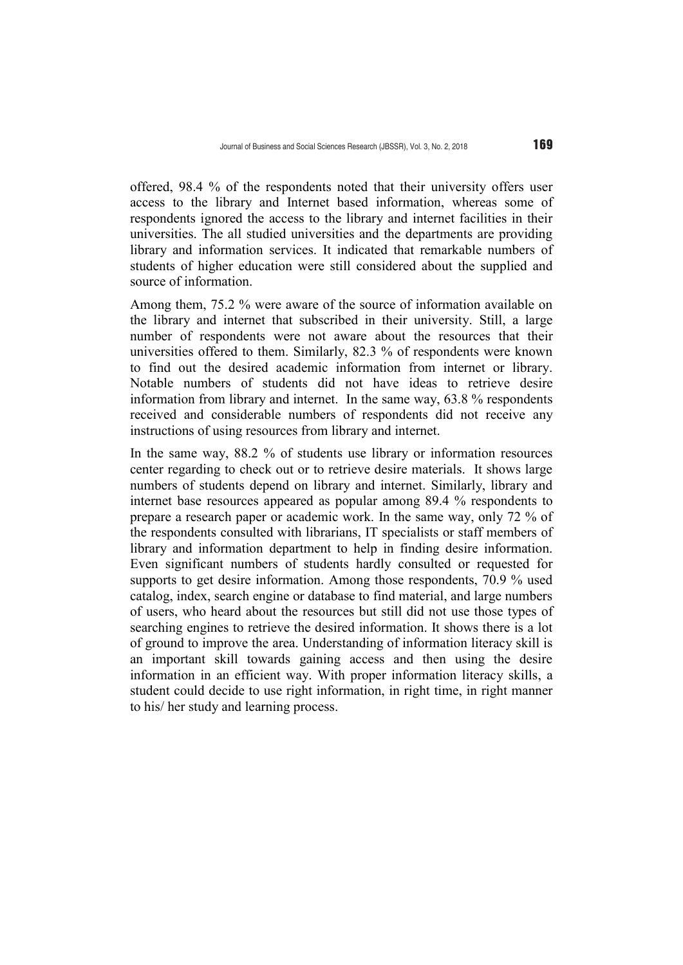offered, 98.4 % of the respondents noted that their university offers user access to the library and Internet based information, whereas some of respondents ignored the access to the library and internet facilities in their universities. The all studied universities and the departments are providing library and information services. It indicated that remarkable numbers of students of higher education were still considered about the supplied and source of information.

Among them, 75.2 % were aware of the source of information available on the library and internet that subscribed in their university. Still, a large number of respondents were not aware about the resources that their universities offered to them. Similarly, 82.3 % of respondents were known to find out the desired academic information from internet or library. Notable numbers of students did not have ideas to retrieve desire information from library and internet. In the same way, 63.8 % respondents received and considerable numbers of respondents did not receive any instructions of using resources from library and internet.

In the same way, 88.2 % of students use library or information resources center regarding to check out or to retrieve desire materials. It shows large numbers of students depend on library and internet. Similarly, library and internet base resources appeared as popular among 89.4 % respondents to prepare a research paper or academic work. In the same way, only 72 % of the respondents consulted with librarians, IT specialists or staff members of library and information department to help in finding desire information. Even significant numbers of students hardly consulted or requested for supports to get desire information. Among those respondents, 70.9 % used catalog, index, search engine or database to find material, and large numbers of users, who heard about the resources but still did not use those types of searching engines to retrieve the desired information. It shows there is a lot of ground to improve the area. Understanding of information literacy skill is an important skill towards gaining access and then using the desire information in an efficient way. With proper information literacy skills, a student could decide to use right information, in right time, in right manner to his/ her study and learning process.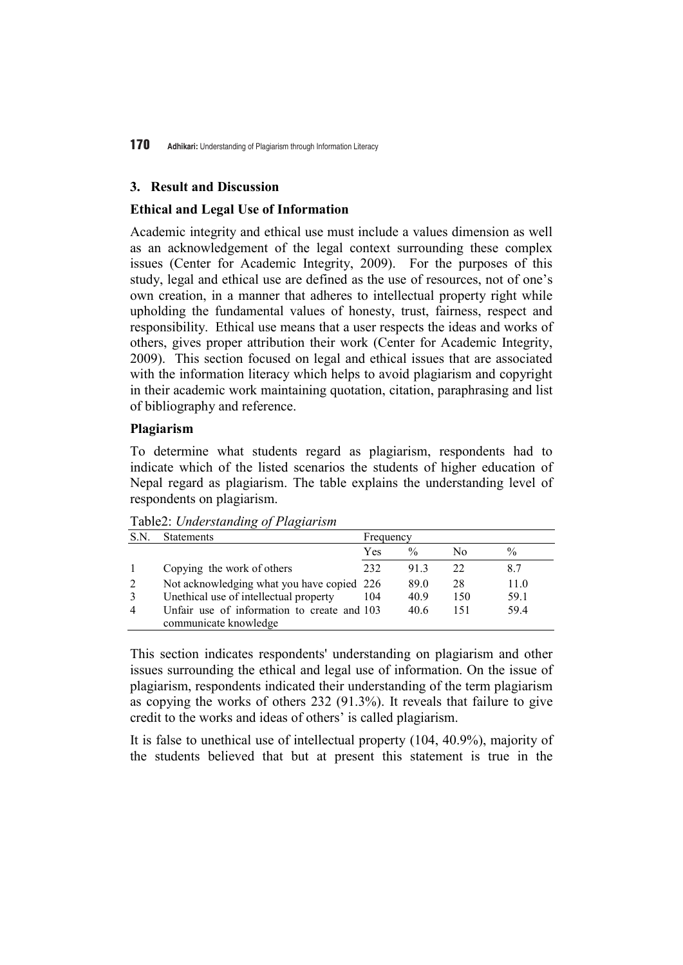### **3. Result and Discussion**

## **Ethical and Legal Use of Information**

Academic integrity and ethical use must include a values dimension as well as an acknowledgement of the legal context surrounding these complex issues (Center for Academic Integrity, 2009). For the purposes of this study, legal and ethical use are defined as the use of resources, not of one's own creation, in a manner that adheres to intellectual property right while upholding the fundamental values of honesty, trust, fairness, respect and responsibility. Ethical use means that a user respects the ideas and works of others, gives proper attribution their work (Center for Academic Integrity, 2009). This section focused on legal and ethical issues that are associated with the information literacy which helps to avoid plagiarism and copyright in their academic work maintaining quotation, citation, paraphrasing and list of bibliography and reference.

# **Plagiarism**

To determine what students regard as plagiarism, respondents had to indicate which of the listed scenarios the students of higher education of Nepal regard as plagiarism. The table explains the understanding level of respondents on plagiarism.

| S.N | <b>Statements</b>                                                    | Frequency |               |     |               |  |  |
|-----|----------------------------------------------------------------------|-----------|---------------|-----|---------------|--|--|
|     |                                                                      | Yes       | $\frac{0}{0}$ | No  | $\frac{0}{0}$ |  |  |
|     | Copying the work of others                                           | 232       | 913           | 22  | 8.7           |  |  |
| 2   | Not acknowledging what you have copied 226                           |           | 89.0          | 28  | 11.0          |  |  |
|     | Unethical use of intellectual property                               | 104       | 40.9          | 150 | 59.1          |  |  |
| 4   | Unfair use of information to create and 103<br>communicate knowledge |           | 40.6          | 151 | 59.4          |  |  |

Table2: *Understanding of Plagiarism* 

This section indicates respondents' understanding on plagiarism and other issues surrounding the ethical and legal use of information. On the issue of plagiarism, respondents indicated their understanding of the term plagiarism as copying the works of others 232 (91.3%). It reveals that failure to give credit to the works and ideas of others' is called plagiarism.

It is false to unethical use of intellectual property (104, 40.9%), majority of the students believed that but at present this statement is true in the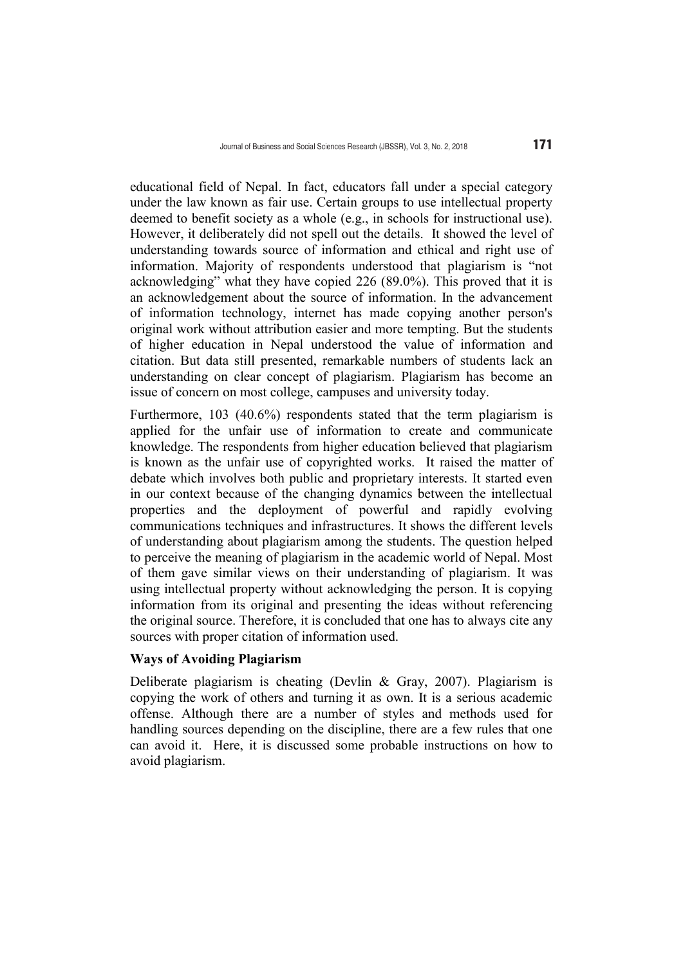educational field of Nepal. In fact, educators fall under a special category under the law known as fair use. Certain groups to use intellectual property deemed to benefit society as a whole (e.g., in schools for instructional use). However, it deliberately did not spell out the details. It showed the level of understanding towards source of information and ethical and right use of information. Majority of respondents understood that plagiarism is "not acknowledging" what they have copied 226 (89.0%). This proved that it is an acknowledgement about the source of information. In the advancement of information technology, internet has made copying another person's original work without attribution easier and more tempting. But the students of higher education in Nepal understood the value of information and citation. But data still presented, remarkable numbers of students lack an understanding on clear concept of plagiarism. Plagiarism has become an issue of concern on most college, campuses and university today.

Furthermore, 103 (40.6%) respondents stated that the term plagiarism is applied for the unfair use of information to create and communicate knowledge. The respondents from higher education believed that plagiarism is known as the unfair use of copyrighted works. It raised the matter of debate which involves both public and proprietary interests. It started even in our context because of the changing dynamics between the intellectual properties and the deployment of powerful and rapidly evolving communications techniques and infrastructures. It shows the different levels of understanding about plagiarism among the students. The question helped to perceive the meaning of plagiarism in the academic world of Nepal. Most of them gave similar views on their understanding of plagiarism. It was using intellectual property without acknowledging the person. It is copying information from its original and presenting the ideas without referencing the original source. Therefore, it is concluded that one has to always cite any sources with proper citation of information used.

### **Ways of Avoiding Plagiarism**

Deliberate plagiarism is cheating (Devlin & Gray, 2007). Plagiarism is copying the work of others and turning it as own. It is a serious academic offense. Although there are a number of styles and methods used for handling sources depending on the discipline, there are a few rules that one can avoid it. Here, it is discussed some probable instructions on how to avoid plagiarism.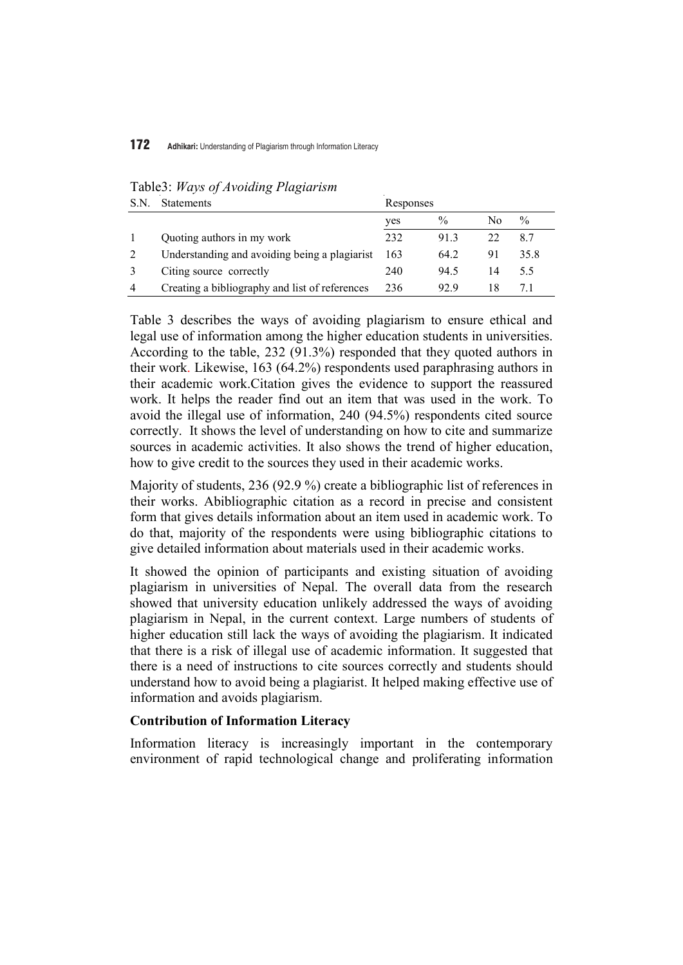| S.N | <b>Statements</b>                              | Responses |      |    |      |
|-----|------------------------------------------------|-----------|------|----|------|
|     |                                                | yes       | $\%$ | No | $\%$ |
|     | Quoting authors in my work                     | 232       | 913  | 22 | 8.7  |
|     | Understanding and avoiding being a plagiarist  | 163       | 64.2 | 91 | 35.8 |
|     | Citing source correctly                        | 240       | 94.5 | 14 | 55   |
| 4   | Creating a bibliography and list of references | 236       | 92.9 | 18 |      |

Table3: *Ways of Avoiding Plagiarism* 

Table 3 describes the ways of avoiding plagiarism to ensure ethical and legal use of information among the higher education students in universities. According to the table, 232 (91.3%) responded that they quoted authors in their work. Likewise, 163 (64.2%) respondents used paraphrasing authors in their academic work.Citation gives the evidence to support the reassured work. It helps the reader find out an item that was used in the work. To avoid the illegal use of information, 240 (94.5%) respondents cited source correctly. It shows the level of understanding on how to cite and summarize sources in academic activities. It also shows the trend of higher education, how to give credit to the sources they used in their academic works.

Majority of students, 236 (92.9 %) create a bibliographic list of references in their works. Abibliographic citation as a record in precise and consistent form that gives details information about an item used in academic work. To do that, majority of the respondents were using bibliographic citations to give detailed information about materials used in their academic works.

It showed the opinion of participants and existing situation of avoiding plagiarism in universities of Nepal. The overall data from the research showed that university education unlikely addressed the ways of avoiding plagiarism in Nepal, in the current context. Large numbers of students of higher education still lack the ways of avoiding the plagiarism. It indicated that there is a risk of illegal use of academic information. It suggested that there is a need of instructions to cite sources correctly and students should understand how to avoid being a plagiarist. It helped making effective use of information and avoids plagiarism.

#### **Contribution of Information Literacy**

Information literacy is increasingly important in the contemporary environment of rapid technological change and proliferating information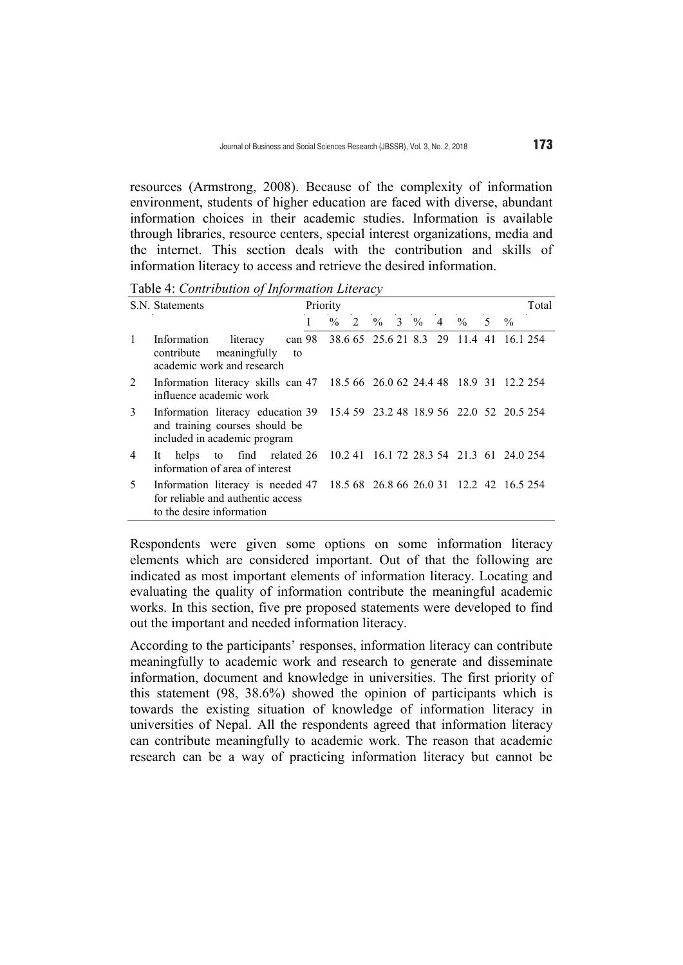resources (Armstrong, 2008). Because of the complexity of information environment, students of higher education are faced with diverse, abundant information choices in their academic studies. Information is available through libraries, resource centers, special interest organizations, media and the internet. This section deals with the contribution and skills of information literacy to access and retrieve the desired information.

Table 4: *Contribution of Information Literacy* 

|              | S.N. Statements                                                                                                                              | Priority |      |   |               |  |                                                |    |               | Total |
|--------------|----------------------------------------------------------------------------------------------------------------------------------------------|----------|------|---|---------------|--|------------------------------------------------|----|---------------|-------|
|              |                                                                                                                                              |          | $\%$ | 2 | $\%$ 3 $\%$ 4 |  | $\frac{0}{0}$                                  | 5. | $\frac{0}{0}$ |       |
| $\mathbf{1}$ | Information<br>literacy<br>contribute meaningfully<br>to<br>academic work and research                                                       |          |      |   |               |  | can 98 38.6 65 25.6 21 8.3 29 11.4 41 16.1 254 |    |               |       |
| 2            | Information literacy skills can 47 18.5 66 26.0 62 24.4 48 18.9 31 12.2 254<br>influence academic work                                       |          |      |   |               |  |                                                |    |               |       |
| 3            | Information literacy education 39 15.4 59 23.2 48 18.9 56 22.0 52 20.5 254<br>and training courses should be<br>included in academic program |          |      |   |               |  |                                                |    |               |       |
| 4            | helps to find related 26 10.2 41 16.1 72 28.3 54 21.3 61 24.0 254<br>It.<br>information of area of interest                                  |          |      |   |               |  |                                                |    |               |       |
| 5            | Information literacy is needed 47<br>for reliable and authentic access<br>to the desire information                                          |          |      |   |               |  | 18.5 68 26.8 66 26.0 31 12.2 42 16.5 254       |    |               |       |

Respondents were given some options on some information literacy elements which are considered important. Out of that the following are indicated as most important elements of information literacy. Locating and evaluating the quality of information contribute the meaningful academic works. In this section, five pre proposed statements were developed to find out the important and needed information literacy.

According to the participants' responses, information literacy can contribute meaningfully to academic work and research to generate and disseminate information, document and knowledge in universities. The first priority of this statement (98, 38.6%) showed the opinion of participants which is towards the existing situation of knowledge of information literacy in universities of Nepal. All the respondents agreed that information literacy can contribute meaningfully to academic work. The reason that academic research can be a way of practicing information literacy but cannot be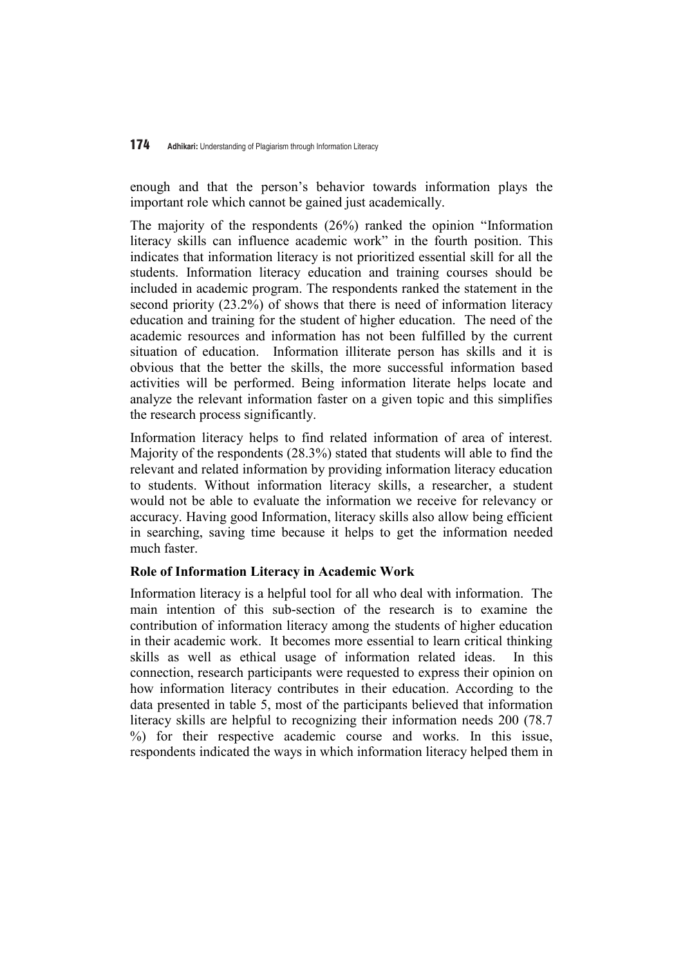enough and that the person's behavior towards information plays the important role which cannot be gained just academically.

The majority of the respondents (26%) ranked the opinion "Information literacy skills can influence academic work" in the fourth position. This indicates that information literacy is not prioritized essential skill for all the students. Information literacy education and training courses should be included in academic program. The respondents ranked the statement in the second priority (23.2%) of shows that there is need of information literacy education and training for the student of higher education. The need of the academic resources and information has not been fulfilled by the current situation of education. Information illiterate person has skills and it is obvious that the better the skills, the more successful information based activities will be performed. Being information literate helps locate and analyze the relevant information faster on a given topic and this simplifies the research process significantly.

Information literacy helps to find related information of area of interest. Majority of the respondents (28.3%) stated that students will able to find the relevant and related information by providing information literacy education to students. Without information literacy skills, a researcher, a student would not be able to evaluate the information we receive for relevancy or accuracy. Having good Information, literacy skills also allow being efficient in searching, saving time because it helps to get the information needed much faster.

### **Role of Information Literacy in Academic Work**

Information literacy is a helpful tool for all who deal with information. The main intention of this sub-section of the research is to examine the contribution of information literacy among the students of higher education in their academic work. It becomes more essential to learn critical thinking skills as well as ethical usage of information related ideas. In this connection, research participants were requested to express their opinion on how information literacy contributes in their education. According to the data presented in table 5, most of the participants believed that information literacy skills are helpful to recognizing their information needs 200 (78.7 %) for their respective academic course and works. In this issue, respondents indicated the ways in which information literacy helped them in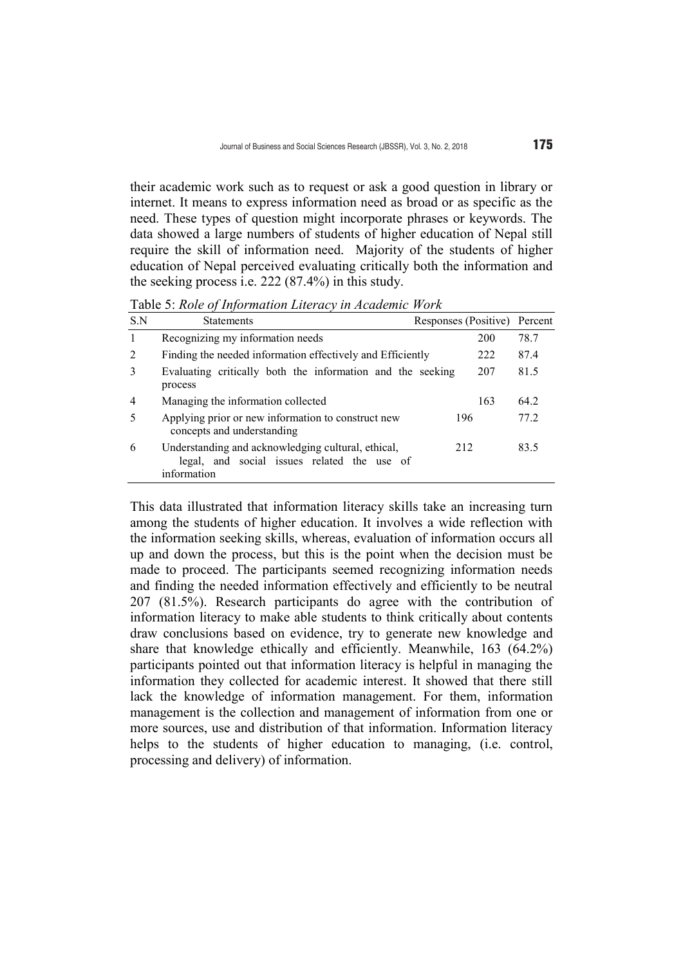their academic work such as to request or ask a good question in library or internet. It means to express information need as broad or as specific as the need. These types of question might incorporate phrases or keywords. The data showed a large numbers of students of higher education of Nepal still require the skill of information need. Majority of the students of higher education of Nepal perceived evaluating critically both the information and the seeking process i.e. 222 (87.4%) in this study.

Table 5: *Role of Information Literacy in Academic Work* 

| S.N | <b>Statements</b>                                                                                                | Responses (Positive) |     | Percent |
|-----|------------------------------------------------------------------------------------------------------------------|----------------------|-----|---------|
| 1   | Recognizing my information needs                                                                                 |                      | 200 | 78.7    |
| 2   | Finding the needed information effectively and Efficiently                                                       |                      | 222 | 87.4    |
| 3   | Evaluating critically both the information and the seeking<br>process                                            |                      | 207 | 81.5    |
| 4   | Managing the information collected                                                                               |                      | 163 | 64.2    |
| 5   | Applying prior or new information to construct new<br>concepts and understanding                                 | 196                  |     | 77.2    |
| 6   | Understanding and acknowledging cultural, ethical,<br>legal, and social issues related the use of<br>information | 212                  |     | 83.5    |

This data illustrated that information literacy skills take an increasing turn among the students of higher education. It involves a wide reflection with the information seeking skills, whereas, evaluation of information occurs all up and down the process, but this is the point when the decision must be made to proceed. The participants seemed recognizing information needs and finding the needed information effectively and efficiently to be neutral 207 (81.5%). Research participants do agree with the contribution of information literacy to make able students to think critically about contents draw conclusions based on evidence, try to generate new knowledge and share that knowledge ethically and efficiently. Meanwhile, 163 (64.2%) participants pointed out that information literacy is helpful in managing the information they collected for academic interest. It showed that there still lack the knowledge of information management. For them, information management is the collection and management of information from one or more sources, use and distribution of that information. Information literacy helps to the students of higher education to managing, (i.e. control, processing and delivery) of information.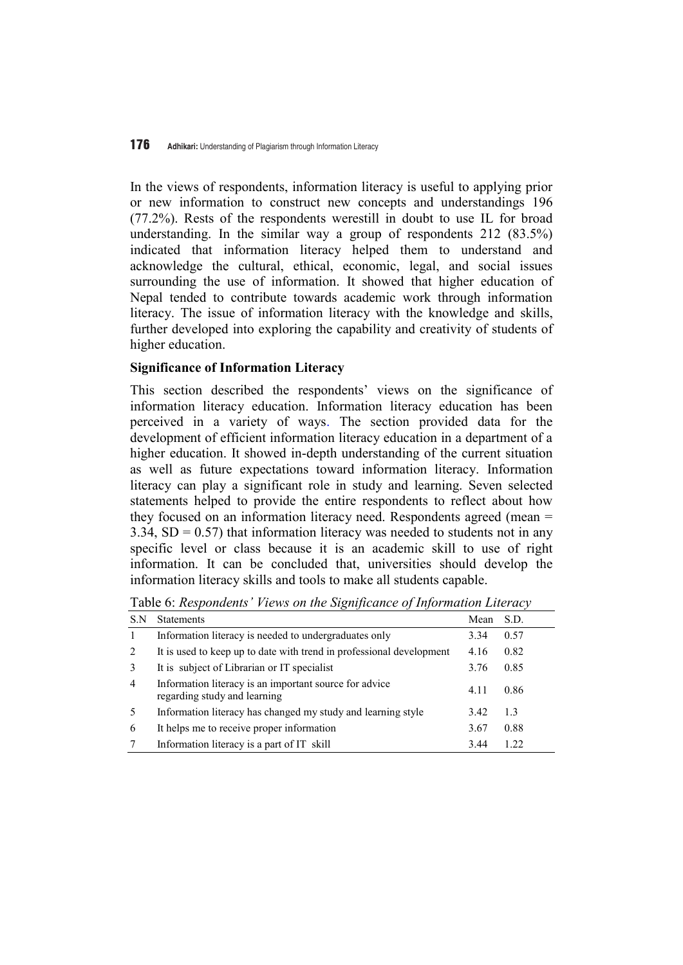In the views of respondents, information literacy is useful to applying prior or new information to construct new concepts and understandings 196 (77.2%). Rests of the respondents werestill in doubt to use IL for broad understanding. In the similar way a group of respondents 212 (83.5%) indicated that information literacy helped them to understand and acknowledge the cultural, ethical, economic, legal, and social issues surrounding the use of information. It showed that higher education of Nepal tended to contribute towards academic work through information literacy. The issue of information literacy with the knowledge and skills, further developed into exploring the capability and creativity of students of higher education.

### **Significance of Information Literacy**

This section described the respondents' views on the significance of information literacy education. Information literacy education has been perceived in a variety of ways. The section provided data for the development of efficient information literacy education in a department of a higher education. It showed in-depth understanding of the current situation as well as future expectations toward information literacy. Information literacy can play a significant role in study and learning. Seven selected statements helped to provide the entire respondents to reflect about how they focused on an information literacy need. Respondents agreed (mean = 3.34,  $SD = 0.57$ ) that information literacy was needed to students not in any specific level or class because it is an academic skill to use of right information. It can be concluded that, universities should develop the information literacy skills and tools to make all students capable.

Table 6: *Respondents' Views on the Significance of Information Literacy* 

| S.N | <b>Statements</b>                                                                      | Mean | S.D. |
|-----|----------------------------------------------------------------------------------------|------|------|
|     | Information literacy is needed to undergraduates only                                  | 3.34 | 0.57 |
| 2   | It is used to keep up to date with trend in professional development                   | 4.16 | 0.82 |
| 3   | It is subject of Librarian or IT specialist                                            | 3.76 | 0.85 |
| 4   | Information literacy is an important source for advice<br>regarding study and learning | 4.11 | 0.86 |
| 5   | Information literacy has changed my study and learning style                           | 3.42 | 1.3  |
| 6   | It helps me to receive proper information                                              | 3.67 | 0.88 |
|     | Information literacy is a part of IT skill                                             | 3.44 | 122  |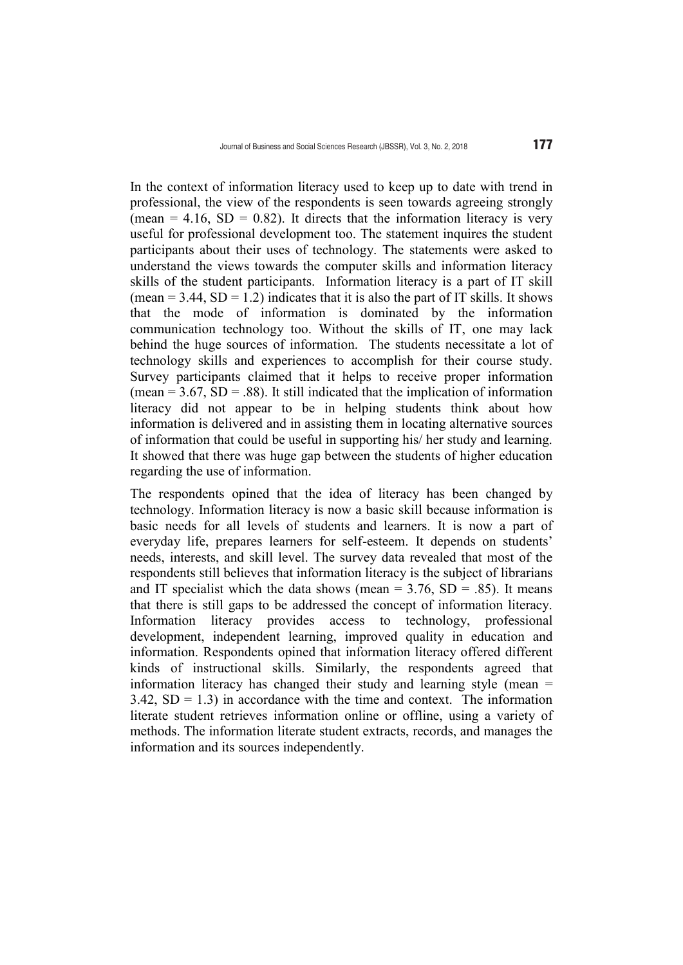In the context of information literacy used to keep up to date with trend in professional, the view of the respondents is seen towards agreeing strongly (mean = 4.16,  $SD = 0.82$ ). It directs that the information literacy is very useful for professional development too. The statement inquires the student participants about their uses of technology. The statements were asked to understand the views towards the computer skills and information literacy skills of the student participants. Information literacy is a part of IT skill (mean  $= 3.44$ , SD  $= 1.2$ ) indicates that it is also the part of IT skills. It shows that the mode of information is dominated by the information communication technology too. Without the skills of IT, one may lack behind the huge sources of information. The students necessitate a lot of technology skills and experiences to accomplish for their course study. Survey participants claimed that it helps to receive proper information (mean  $= 3.67$ , SD  $= .88$ ). It still indicated that the implication of information literacy did not appear to be in helping students think about how information is delivered and in assisting them in locating alternative sources of information that could be useful in supporting his/ her study and learning. It showed that there was huge gap between the students of higher education regarding the use of information.

The respondents opined that the idea of literacy has been changed by technology. Information literacy is now a basic skill because information is basic needs for all levels of students and learners. It is now a part of everyday life, prepares learners for self-esteem. It depends on students' needs, interests, and skill level. The survey data revealed that most of the respondents still believes that information literacy is the subject of librarians and IT specialist which the data shows (mean =  $3.76$ , SD =  $.85$ ). It means that there is still gaps to be addressed the concept of information literacy. Information literacy provides access to technology, professional development, independent learning, improved quality in education and information. Respondents opined that information literacy offered different kinds of instructional skills. Similarly, the respondents agreed that information literacy has changed their study and learning style (mean =  $3.42$ ,  $SD = 1.3$ ) in accordance with the time and context. The information literate student retrieves information online or offline, using a variety of methods. The information literate student extracts, records, and manages the information and its sources independently.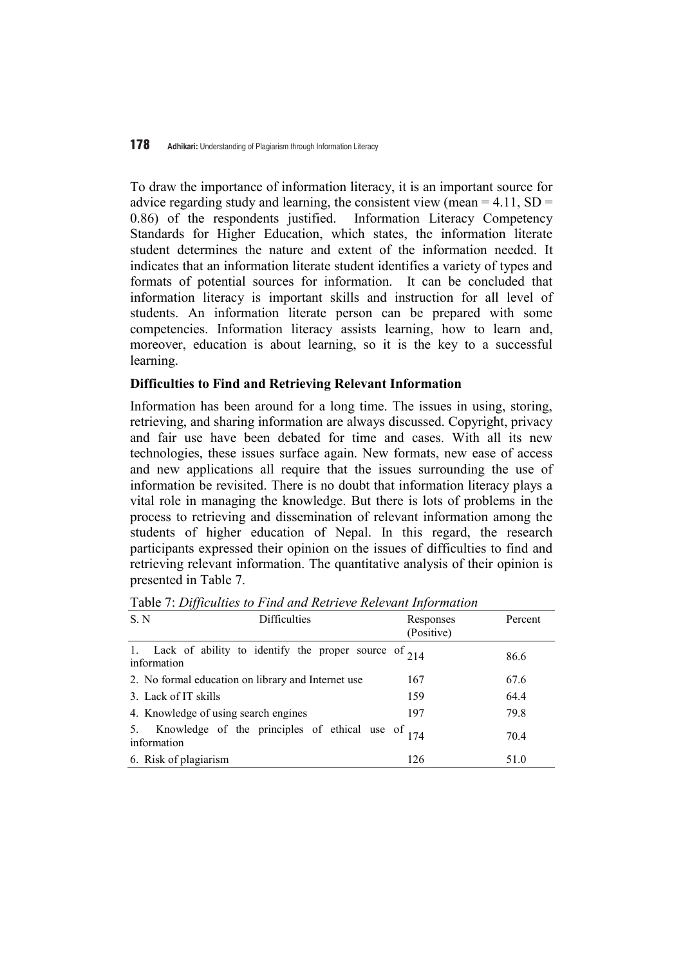To draw the importance of information literacy, it is an important source for advice regarding study and learning, the consistent view (mean  $= 4.11$ , SD  $=$ 0.86) of the respondents justified. Information Literacy Competency Standards for Higher Education, which states, the information literate student determines the nature and extent of the information needed. It indicates that an information literate student identifies a variety of types and formats of potential sources for information. It can be concluded that information literacy is important skills and instruction for all level of students. An information literate person can be prepared with some competencies. Information literacy assists learning, how to learn and, moreover, education is about learning, so it is the key to a successful learning.

### **Difficulties to Find and Retrieving Relevant Information**

Information has been around for a long time. The issues in using, storing, retrieving, and sharing information are always discussed. Copyright, privacy and fair use have been debated for time and cases. With all its new technologies, these issues surface again. New formats, new ease of access and new applications all require that the issues surrounding the use of information be revisited. There is no doubt that information literacy plays a vital role in managing the knowledge. But there is lots of problems in the process to retrieving and dissemination of relevant information among the students of higher education of Nepal. In this regard, the research participants expressed their opinion on the issues of difficulties to find and retrieving relevant information. The quantitative analysis of their opinion is presented in Table 7.

| vv<br>S. N<br><b>Difficulties</b>                                           | Responses<br>(Positive) | Percent |
|-----------------------------------------------------------------------------|-------------------------|---------|
| Lack of ability to identify the proper source of $214$<br>1.<br>information |                         | 86.6    |
| 2. No formal education on library and Internet use                          | 167                     | 67.6    |
| 3. Lack of IT skills                                                        | 159                     | 64.4    |
| 4. Knowledge of using search engines                                        | 197                     | 79.8    |
| Knowledge of the principles of ethical use of $_{174}$<br>information       |                         | 70.4    |
| 6. Risk of plagiarism                                                       | 126                     | 51.0    |

Table 7: *Difficulties to Find and Retrieve Relevant Information*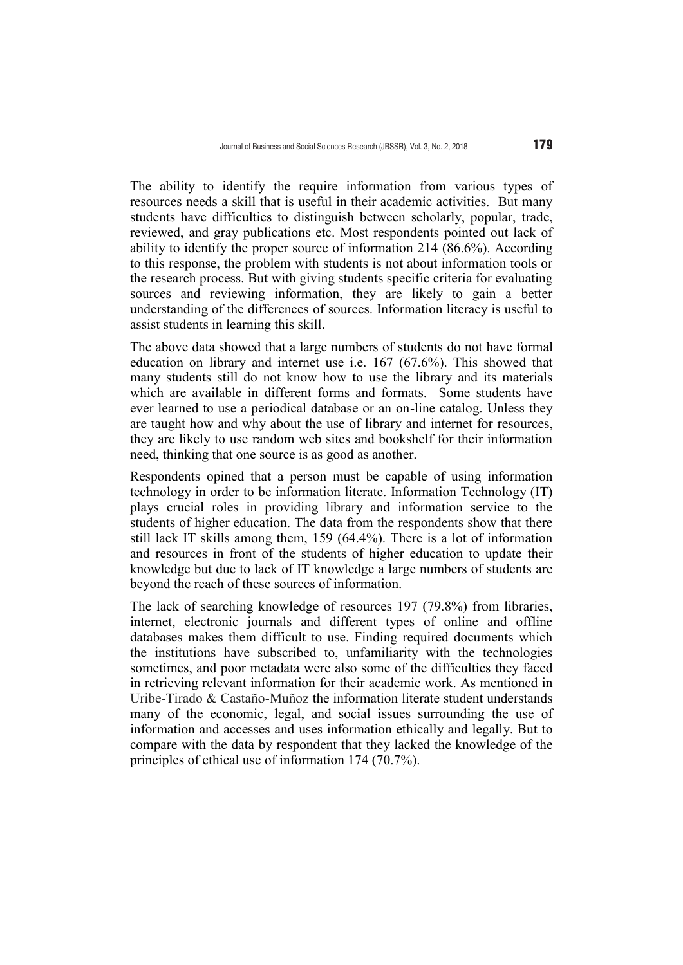The ability to identify the require information from various types of resources needs a skill that is useful in their academic activities. But many students have difficulties to distinguish between scholarly, popular, trade, reviewed, and gray publications etc. Most respondents pointed out lack of ability to identify the proper source of information 214 (86.6%). According to this response, the problem with students is not about information tools or the research process. But with giving students specific criteria for evaluating sources and reviewing information, they are likely to gain a better understanding of the differences of sources. Information literacy is useful to assist students in learning this skill.

The above data showed that a large numbers of students do not have formal education on library and internet use i.e. 167 (67.6%). This showed that many students still do not know how to use the library and its materials which are available in different forms and formats. Some students have ever learned to use a periodical database or an on-line catalog. Unless they are taught how and why about the use of library and internet for resources, they are likely to use random web sites and bookshelf for their information need, thinking that one source is as good as another.

Respondents opined that a person must be capable of using information technology in order to be information literate. Information Technology (IT) plays crucial roles in providing library and information service to the students of higher education. The data from the respondents show that there still lack IT skills among them, 159 (64.4%). There is a lot of information and resources in front of the students of higher education to update their knowledge but due to lack of IT knowledge a large numbers of students are beyond the reach of these sources of information.

The lack of searching knowledge of resources 197 (79.8%) from libraries, internet, electronic journals and different types of online and offline databases makes them difficult to use. Finding required documents which the institutions have subscribed to, unfamiliarity with the technologies sometimes, and poor metadata were also some of the difficulties they faced in retrieving relevant information for their academic work. As mentioned in Uribe-Tirado & Castaño-Muñoz the information literate student understands many of the economic, legal, and social issues surrounding the use of information and accesses and uses information ethically and legally. But to compare with the data by respondent that they lacked the knowledge of the principles of ethical use of information 174 (70.7%).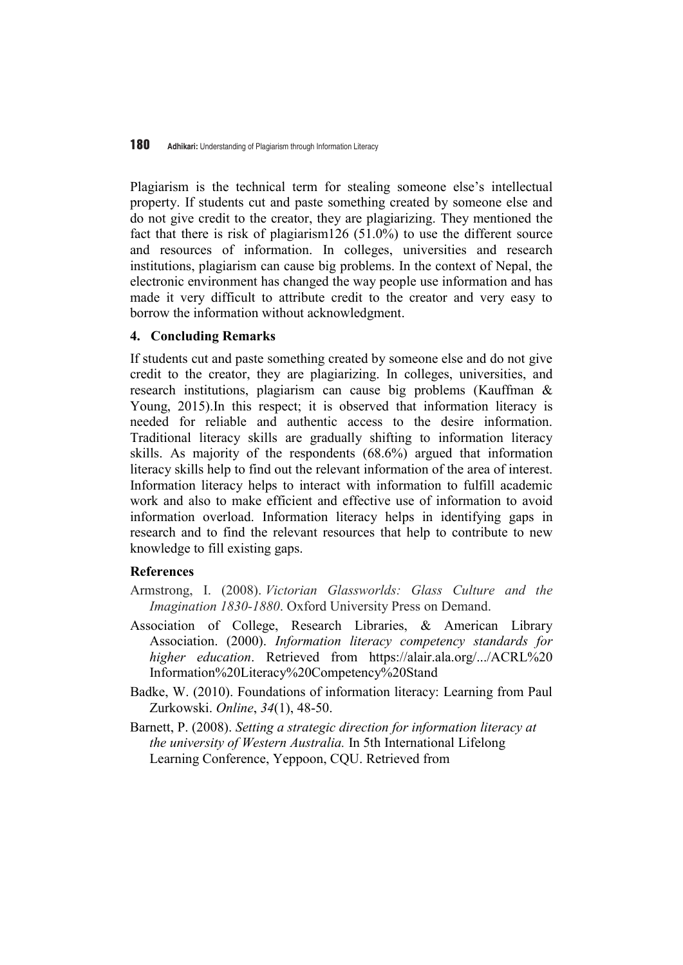Plagiarism is the technical term for stealing someone else's intellectual property. If students cut and paste something created by someone else and do not give credit to the creator, they are plagiarizing. They mentioned the fact that there is risk of plagiarism126 (51.0%) to use the different source and resources of information. In colleges, universities and research institutions, plagiarism can cause big problems. In the context of Nepal, the electronic environment has changed the way people use information and has made it very difficult to attribute credit to the creator and very easy to borrow the information without acknowledgment.

# **4. Concluding Remarks**

If students cut and paste something created by someone else and do not give credit to the creator, they are plagiarizing. In colleges, universities, and research institutions, plagiarism can cause big problems (Kauffman & Young, 2015).In this respect; it is observed that information literacy is needed for reliable and authentic access to the desire information. Traditional literacy skills are gradually shifting to information literacy skills. As majority of the respondents (68.6%) argued that information literacy skills help to find out the relevant information of the area of interest. Information literacy helps to interact with information to fulfill academic work and also to make efficient and effective use of information to avoid information overload. Information literacy helps in identifying gaps in research and to find the relevant resources that help to contribute to new knowledge to fill existing gaps.

### **References**

- Armstrong, I. (2008). *Victorian Glassworlds: Glass Culture and the Imagination 1830-1880*. Oxford University Press on Demand.
- Association of College, Research Libraries, & American Library Association. (2000). *Information literacy competency standards for higher education*. Retrieved from https://alair.ala.org/.../ACRL%20 Information%20Literacy%20Competency%20Stand
- Badke, W. (2010). Foundations of information literacy: Learning from Paul Zurkowski. *Online*, *34*(1), 48-50.
- Barnett, P. (2008). *Setting a strategic direction for information literacy at the university of Western Australia.* In 5th International Lifelong Learning Conference, Yeppoon, CQU. Retrieved from